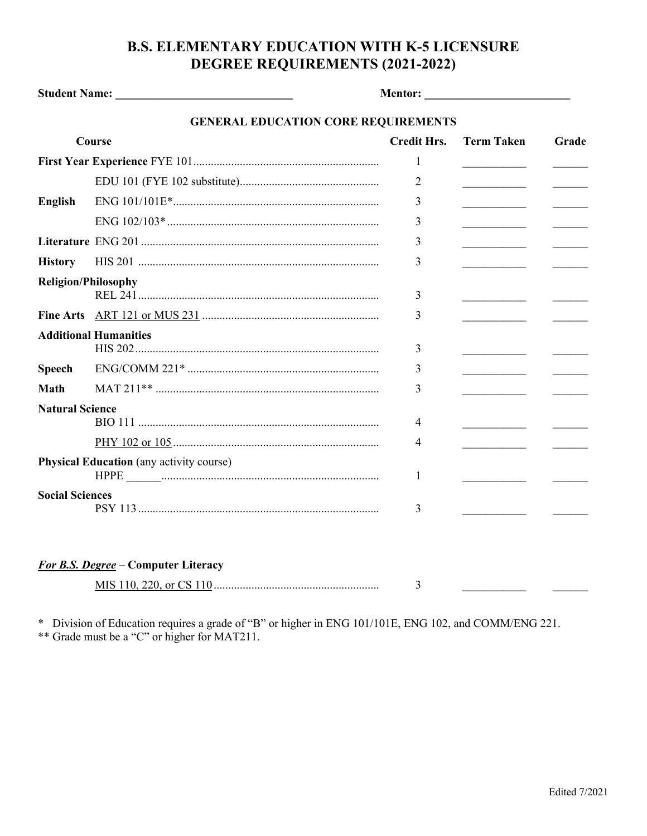## **B.S. ELEMENTARY EDUCATION WITH K-5 LICENSURE** DEGREE REQUIREMENTS (2021-2022)

| <b>GENERAL EDUCATION CORE REQUIREMENTS</b>           |                                            |                     |                                                                                                                     |                        |  |  |  |  |
|------------------------------------------------------|--------------------------------------------|---------------------|---------------------------------------------------------------------------------------------------------------------|------------------------|--|--|--|--|
| Course                                               |                                            | <b>Credit Hrs.</b>  | <b>Term Taken</b>                                                                                                   | Grade                  |  |  |  |  |
|                                                      |                                            | $\mathbf{1}$        |                                                                                                                     |                        |  |  |  |  |
|                                                      |                                            | 2                   |                                                                                                                     | <u> Liston de la p</u> |  |  |  |  |
| <b>English</b>                                       |                                            | 3                   | $\overline{\phantom{a}}$                                                                                            |                        |  |  |  |  |
|                                                      |                                            | 3                   | <u> 1989 - John Harry Harry Harry Harry Harry Harry Harry Harry Harry Harry Harry Harry Harry Harry Harry Harry</u> |                        |  |  |  |  |
|                                                      |                                            | 3                   | <u> 1989 - John Barn Barn, amerikansk politiker</u>                                                                 |                        |  |  |  |  |
| <b>History</b>                                       |                                            | 3                   |                                                                                                                     |                        |  |  |  |  |
|                                                      | <b>Religion/Philosophy</b>                 | 3                   |                                                                                                                     |                        |  |  |  |  |
|                                                      |                                            | 3                   |                                                                                                                     |                        |  |  |  |  |
| <b>Additional Humanities</b>                         |                                            | 3                   |                                                                                                                     |                        |  |  |  |  |
| <b>Speech</b>                                        |                                            | 3                   |                                                                                                                     |                        |  |  |  |  |
| <b>Math</b>                                          |                                            | 3                   |                                                                                                                     |                        |  |  |  |  |
| <b>Natural Science</b>                               |                                            | 4<br>$\overline{4}$ |                                                                                                                     |                        |  |  |  |  |
| <b>Physical Education</b> (any activity course)<br>1 |                                            |                     |                                                                                                                     |                        |  |  |  |  |
| <b>Social Sciences</b>                               |                                            | 3                   |                                                                                                                     |                        |  |  |  |  |
|                                                      | <b>For B.S. Degree - Computer Literacy</b> | 3                   |                                                                                                                     |                        |  |  |  |  |

\* Division of Education requires a grade of "B" or higher in ENG 101/101E, ENG 102, and COMM/ENG 221. \*\* Grade must be a "C" or higher for MAT211.